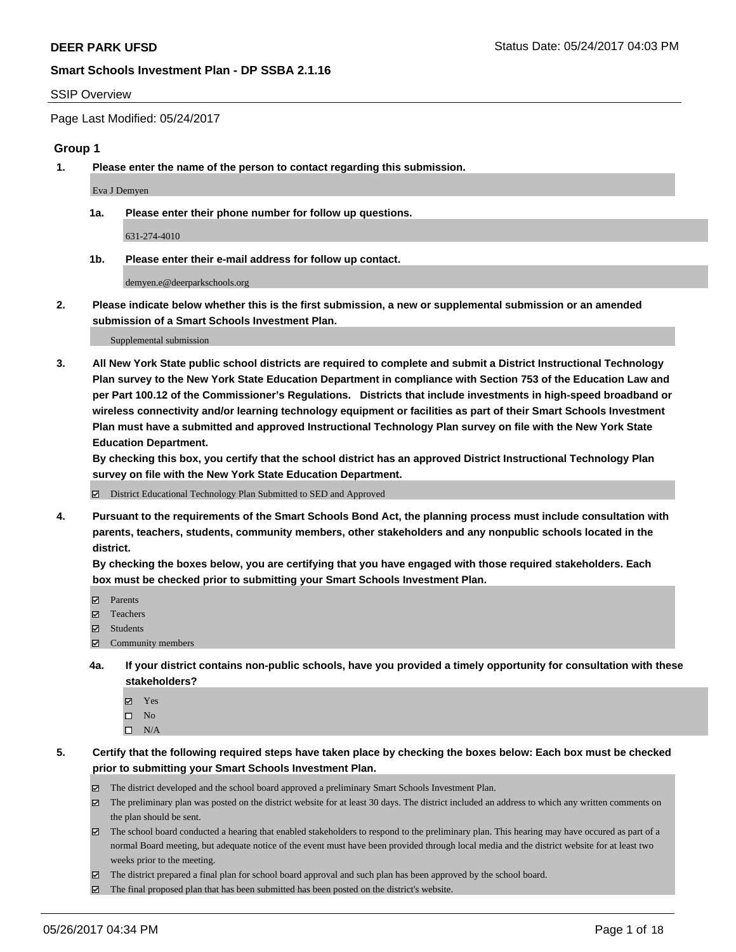#### SSIP Overview

Page Last Modified: 05/24/2017

## **Group 1**

**1. Please enter the name of the person to contact regarding this submission.**

Eva J Demyen

**1a. Please enter their phone number for follow up questions.**

631-274-4010

**1b. Please enter their e-mail address for follow up contact.**

demyen.e@deerparkschools.org

**2. Please indicate below whether this is the first submission, a new or supplemental submission or an amended submission of a Smart Schools Investment Plan.**

Supplemental submission

**3. All New York State public school districts are required to complete and submit a District Instructional Technology Plan survey to the New York State Education Department in compliance with Section 753 of the Education Law and per Part 100.12 of the Commissioner's Regulations. Districts that include investments in high-speed broadband or wireless connectivity and/or learning technology equipment or facilities as part of their Smart Schools Investment Plan must have a submitted and approved Instructional Technology Plan survey on file with the New York State Education Department.** 

**By checking this box, you certify that the school district has an approved District Instructional Technology Plan survey on file with the New York State Education Department.**

District Educational Technology Plan Submitted to SED and Approved

**4. Pursuant to the requirements of the Smart Schools Bond Act, the planning process must include consultation with parents, teachers, students, community members, other stakeholders and any nonpublic schools located in the district.** 

**By checking the boxes below, you are certifying that you have engaged with those required stakeholders. Each box must be checked prior to submitting your Smart Schools Investment Plan.**

- **マ** Parents
- □ Teachers
- Students
- $\Xi$  Community members
- **4a. If your district contains non-public schools, have you provided a timely opportunity for consultation with these stakeholders?**
	- Yes
	- $\hfill \square$  No
	- $\square$  N/A
- **5. Certify that the following required steps have taken place by checking the boxes below: Each box must be checked prior to submitting your Smart Schools Investment Plan.**
	- The district developed and the school board approved a preliminary Smart Schools Investment Plan.
	- $\boxtimes$  The preliminary plan was posted on the district website for at least 30 days. The district included an address to which any written comments on the plan should be sent.
	- $\boxtimes$  The school board conducted a hearing that enabled stakeholders to respond to the preliminary plan. This hearing may have occured as part of a normal Board meeting, but adequate notice of the event must have been provided through local media and the district website for at least two weeks prior to the meeting.
	- The district prepared a final plan for school board approval and such plan has been approved by the school board.
	- $\boxtimes$  The final proposed plan that has been submitted has been posted on the district's website.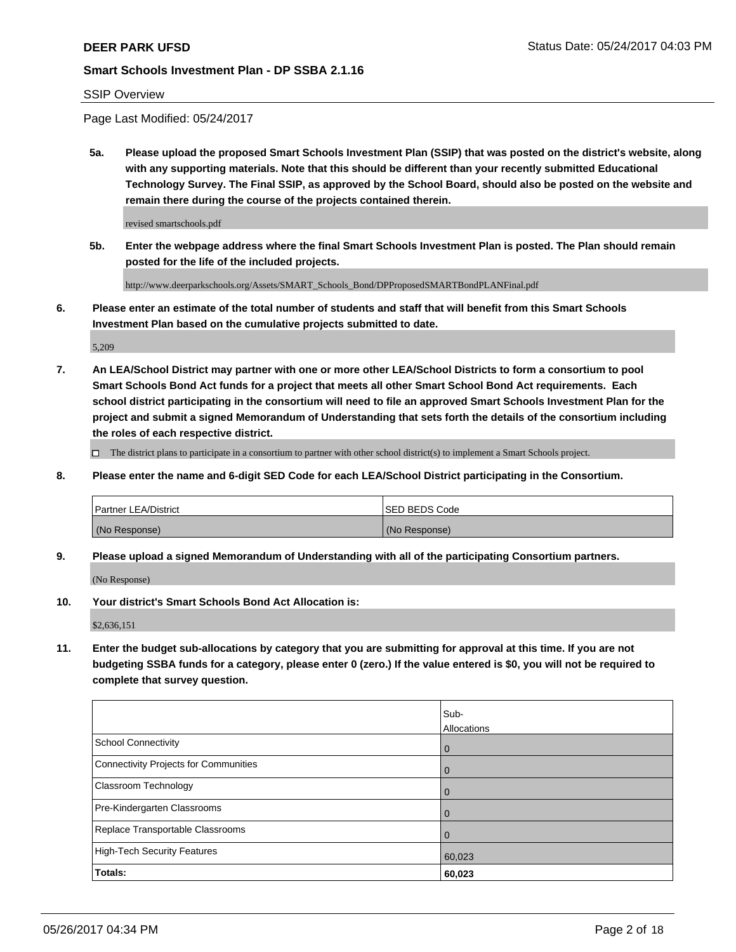## SSIP Overview

Page Last Modified: 05/24/2017

**5a. Please upload the proposed Smart Schools Investment Plan (SSIP) that was posted on the district's website, along with any supporting materials. Note that this should be different than your recently submitted Educational Technology Survey. The Final SSIP, as approved by the School Board, should also be posted on the website and remain there during the course of the projects contained therein.**

revised smartschools.pdf

**5b. Enter the webpage address where the final Smart Schools Investment Plan is posted. The Plan should remain posted for the life of the included projects.**

http://www.deerparkschools.org/Assets/SMART\_Schools\_Bond/DPProposedSMARTBondPLANFinal.pdf

**6. Please enter an estimate of the total number of students and staff that will benefit from this Smart Schools Investment Plan based on the cumulative projects submitted to date.**

5,209

**7. An LEA/School District may partner with one or more other LEA/School Districts to form a consortium to pool Smart Schools Bond Act funds for a project that meets all other Smart School Bond Act requirements. Each school district participating in the consortium will need to file an approved Smart Schools Investment Plan for the project and submit a signed Memorandum of Understanding that sets forth the details of the consortium including the roles of each respective district.**

 $\Box$  The district plans to participate in a consortium to partner with other school district(s) to implement a Smart Schools project.

**8. Please enter the name and 6-digit SED Code for each LEA/School District participating in the Consortium.**

| <b>Partner LEA/District</b> | <b>ISED BEDS Code</b> |
|-----------------------------|-----------------------|
| (No Response)               | (No Response)         |

**9. Please upload a signed Memorandum of Understanding with all of the participating Consortium partners.**

(No Response)

**10. Your district's Smart Schools Bond Act Allocation is:**

\$2,636,151

**11. Enter the budget sub-allocations by category that you are submitting for approval at this time. If you are not budgeting SSBA funds for a category, please enter 0 (zero.) If the value entered is \$0, you will not be required to complete that survey question.**

|                                              | Sub-<br>Allocations |
|----------------------------------------------|---------------------|
| <b>School Connectivity</b>                   | $\overline{0}$      |
| <b>Connectivity Projects for Communities</b> | 0                   |
| Classroom Technology                         | 0                   |
| Pre-Kindergarten Classrooms                  | $\mathbf 0$         |
| Replace Transportable Classrooms             | $\Omega$            |
| <b>High-Tech Security Features</b>           | 60,023              |
| Totals:                                      | 60,023              |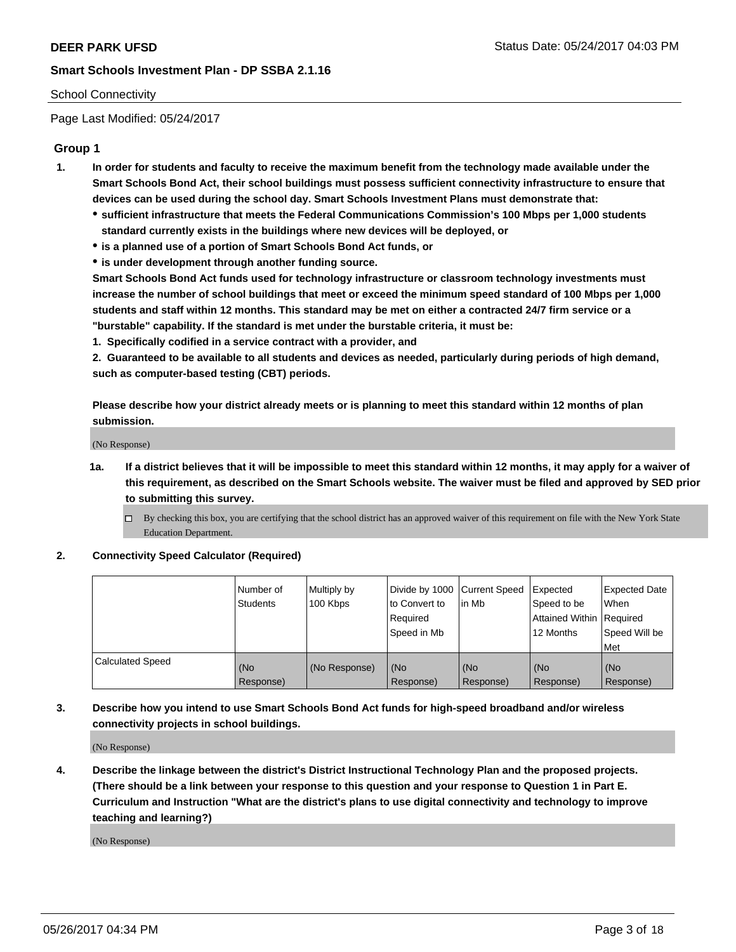## School Connectivity

Page Last Modified: 05/24/2017

## **Group 1**

- **1. In order for students and faculty to receive the maximum benefit from the technology made available under the Smart Schools Bond Act, their school buildings must possess sufficient connectivity infrastructure to ensure that devices can be used during the school day. Smart Schools Investment Plans must demonstrate that:**
	- **sufficient infrastructure that meets the Federal Communications Commission's 100 Mbps per 1,000 students standard currently exists in the buildings where new devices will be deployed, or**
	- **is a planned use of a portion of Smart Schools Bond Act funds, or**
	- **is under development through another funding source.**

**Smart Schools Bond Act funds used for technology infrastructure or classroom technology investments must increase the number of school buildings that meet or exceed the minimum speed standard of 100 Mbps per 1,000 students and staff within 12 months. This standard may be met on either a contracted 24/7 firm service or a "burstable" capability. If the standard is met under the burstable criteria, it must be:**

**1. Specifically codified in a service contract with a provider, and**

**2. Guaranteed to be available to all students and devices as needed, particularly during periods of high demand, such as computer-based testing (CBT) periods.**

**Please describe how your district already meets or is planning to meet this standard within 12 months of plan submission.**

(No Response)

- **1a. If a district believes that it will be impossible to meet this standard within 12 months, it may apply for a waiver of this requirement, as described on the Smart Schools website. The waiver must be filed and approved by SED prior to submitting this survey.**
	- By checking this box, you are certifying that the school district has an approved waiver of this requirement on file with the New York State Education Department.

#### **2. Connectivity Speed Calculator (Required)**

|                         | l Number of<br><b>Students</b> | Multiply by<br>100 Kbps | Divide by 1000   Current Speed<br>to Convert to<br>Required<br>l Speed in Mb | in Mb            | Expected<br>Speed to be<br>Attained Within Required<br>12 Months | <b>Expected Date</b><br>When<br>Speed Will be<br><b>Met</b> |
|-------------------------|--------------------------------|-------------------------|------------------------------------------------------------------------------|------------------|------------------------------------------------------------------|-------------------------------------------------------------|
| <b>Calculated Speed</b> | (No<br>Response)               | (No Response)           | (No<br>Response)                                                             | (No<br>Response) | (No<br>Response)                                                 | l (No<br>Response)                                          |

## **3. Describe how you intend to use Smart Schools Bond Act funds for high-speed broadband and/or wireless connectivity projects in school buildings.**

(No Response)

**4. Describe the linkage between the district's District Instructional Technology Plan and the proposed projects. (There should be a link between your response to this question and your response to Question 1 in Part E. Curriculum and Instruction "What are the district's plans to use digital connectivity and technology to improve teaching and learning?)**

(No Response)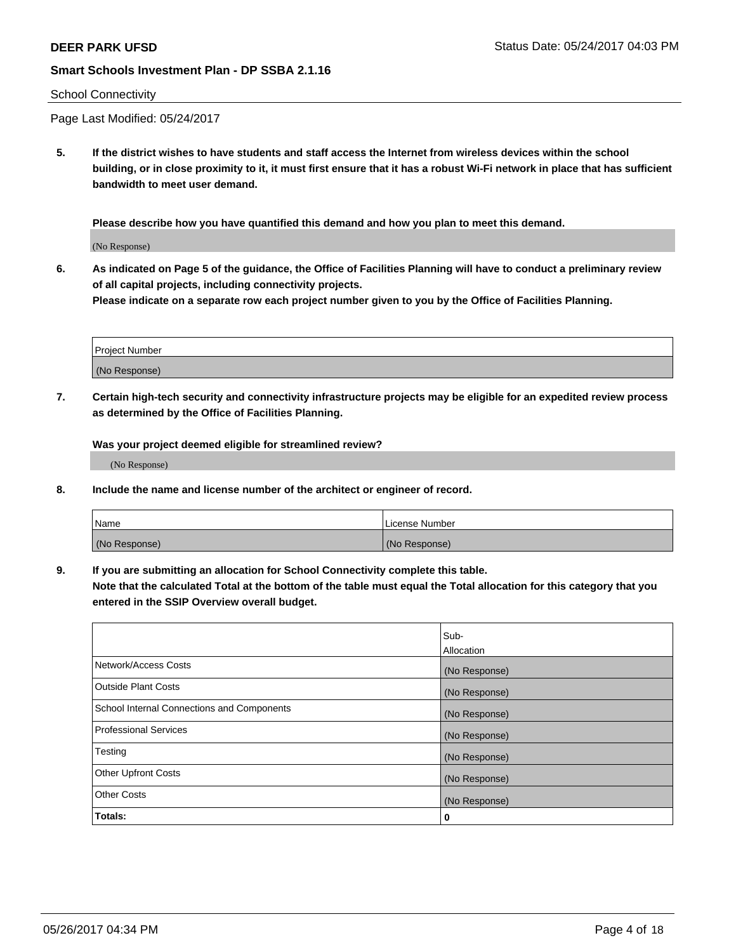#### School Connectivity

Page Last Modified: 05/24/2017

**5. If the district wishes to have students and staff access the Internet from wireless devices within the school building, or in close proximity to it, it must first ensure that it has a robust Wi-Fi network in place that has sufficient bandwidth to meet user demand.**

**Please describe how you have quantified this demand and how you plan to meet this demand.**

(No Response)

**6. As indicated on Page 5 of the guidance, the Office of Facilities Planning will have to conduct a preliminary review of all capital projects, including connectivity projects.**

**Please indicate on a separate row each project number given to you by the Office of Facilities Planning.**

| Project Number |  |
|----------------|--|
|                |  |
| (No Response)  |  |

**7. Certain high-tech security and connectivity infrastructure projects may be eligible for an expedited review process as determined by the Office of Facilities Planning.**

**Was your project deemed eligible for streamlined review?**

(No Response)

**8. Include the name and license number of the architect or engineer of record.**

| Name          | License Number |
|---------------|----------------|
| (No Response) | (No Response)  |

**9. If you are submitting an allocation for School Connectivity complete this table.**

**Note that the calculated Total at the bottom of the table must equal the Total allocation for this category that you entered in the SSIP Overview overall budget.** 

|                                            | Sub-          |
|--------------------------------------------|---------------|
|                                            | Allocation    |
| Network/Access Costs                       | (No Response) |
| Outside Plant Costs                        | (No Response) |
| School Internal Connections and Components | (No Response) |
| <b>Professional Services</b>               | (No Response) |
| Testing                                    | (No Response) |
| <b>Other Upfront Costs</b>                 | (No Response) |
| <b>Other Costs</b>                         | (No Response) |
| Totals:                                    | 0             |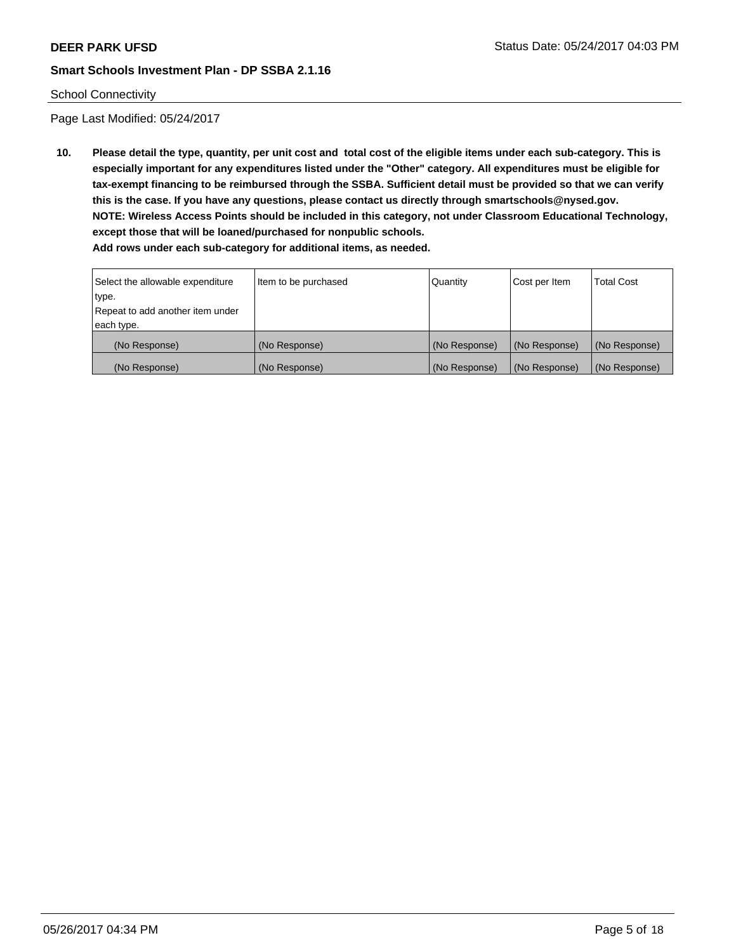## School Connectivity

Page Last Modified: 05/24/2017

**10. Please detail the type, quantity, per unit cost and total cost of the eligible items under each sub-category. This is especially important for any expenditures listed under the "Other" category. All expenditures must be eligible for tax-exempt financing to be reimbursed through the SSBA. Sufficient detail must be provided so that we can verify this is the case. If you have any questions, please contact us directly through smartschools@nysed.gov. NOTE: Wireless Access Points should be included in this category, not under Classroom Educational Technology, except those that will be loaned/purchased for nonpublic schools.**

| Select the allowable expenditure | Item to be purchased | Quantity      | Cost per Item | Total Cost    |
|----------------------------------|----------------------|---------------|---------------|---------------|
| type.                            |                      |               |               |               |
| Repeat to add another item under |                      |               |               |               |
| each type.                       |                      |               |               |               |
| (No Response)                    | (No Response)        | (No Response) | (No Response) | (No Response) |
| (No Response)                    | (No Response)        | (No Response) | (No Response) | (No Response) |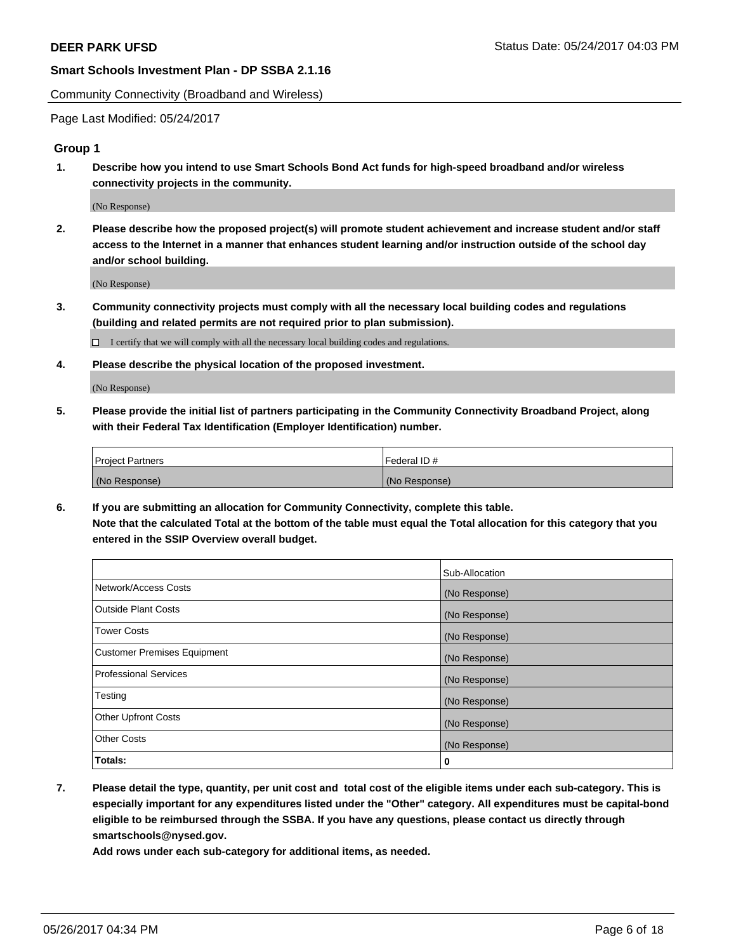Community Connectivity (Broadband and Wireless)

Page Last Modified: 05/24/2017

## **Group 1**

**1. Describe how you intend to use Smart Schools Bond Act funds for high-speed broadband and/or wireless connectivity projects in the community.**

(No Response)

**2. Please describe how the proposed project(s) will promote student achievement and increase student and/or staff access to the Internet in a manner that enhances student learning and/or instruction outside of the school day and/or school building.**

(No Response)

**3. Community connectivity projects must comply with all the necessary local building codes and regulations (building and related permits are not required prior to plan submission).**

 $\Box$  I certify that we will comply with all the necessary local building codes and regulations.

**4. Please describe the physical location of the proposed investment.**

(No Response)

**5. Please provide the initial list of partners participating in the Community Connectivity Broadband Project, along with their Federal Tax Identification (Employer Identification) number.**

| <b>Project Partners</b> | Federal ID#     |
|-------------------------|-----------------|
| (No Response)           | l (No Response) |

**6. If you are submitting an allocation for Community Connectivity, complete this table. Note that the calculated Total at the bottom of the table must equal the Total allocation for this category that you entered in the SSIP Overview overall budget.**

|                                    | Sub-Allocation |
|------------------------------------|----------------|
| Network/Access Costs               | (No Response)  |
| Outside Plant Costs                | (No Response)  |
| <b>Tower Costs</b>                 | (No Response)  |
| <b>Customer Premises Equipment</b> | (No Response)  |
| <b>Professional Services</b>       | (No Response)  |
| Testing                            | (No Response)  |
| <b>Other Upfront Costs</b>         | (No Response)  |
| <b>Other Costs</b>                 | (No Response)  |
| Totals:                            | 0              |

**7. Please detail the type, quantity, per unit cost and total cost of the eligible items under each sub-category. This is especially important for any expenditures listed under the "Other" category. All expenditures must be capital-bond eligible to be reimbursed through the SSBA. If you have any questions, please contact us directly through smartschools@nysed.gov.**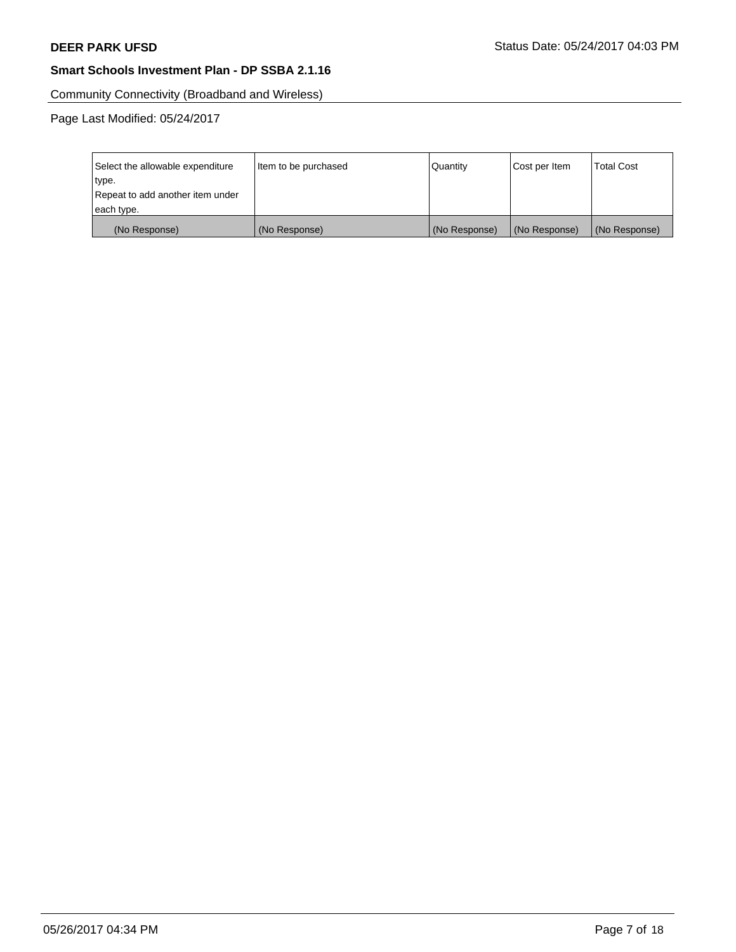Community Connectivity (Broadband and Wireless)

Page Last Modified: 05/24/2017

| Select the allowable expenditure | Item to be purchased | Quantity      | Cost per Item | <b>Total Cost</b> |
|----------------------------------|----------------------|---------------|---------------|-------------------|
| type.                            |                      |               |               |                   |
| Repeat to add another item under |                      |               |               |                   |
| each type.                       |                      |               |               |                   |
| (No Response)                    | (No Response)        | (No Response) | (No Response) | (No Response)     |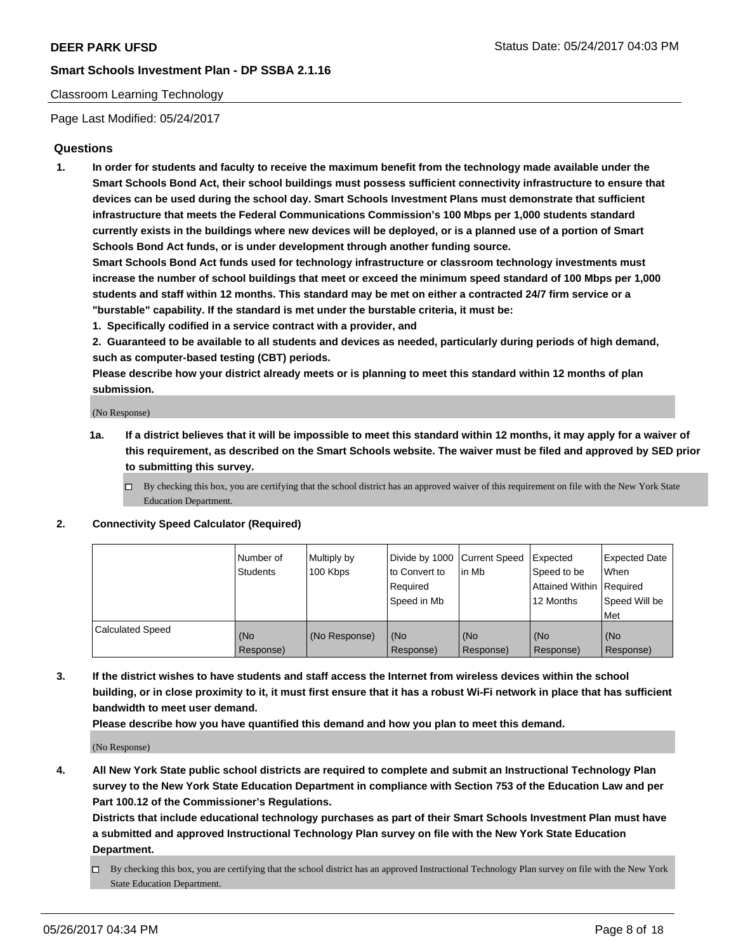## Classroom Learning Technology

Page Last Modified: 05/24/2017

## **Questions**

**1. In order for students and faculty to receive the maximum benefit from the technology made available under the Smart Schools Bond Act, their school buildings must possess sufficient connectivity infrastructure to ensure that devices can be used during the school day. Smart Schools Investment Plans must demonstrate that sufficient infrastructure that meets the Federal Communications Commission's 100 Mbps per 1,000 students standard currently exists in the buildings where new devices will be deployed, or is a planned use of a portion of Smart Schools Bond Act funds, or is under development through another funding source.**

**Smart Schools Bond Act funds used for technology infrastructure or classroom technology investments must increase the number of school buildings that meet or exceed the minimum speed standard of 100 Mbps per 1,000 students and staff within 12 months. This standard may be met on either a contracted 24/7 firm service or a "burstable" capability. If the standard is met under the burstable criteria, it must be:**

- **1. Specifically codified in a service contract with a provider, and**
- **2. Guaranteed to be available to all students and devices as needed, particularly during periods of high demand, such as computer-based testing (CBT) periods.**

**Please describe how your district already meets or is planning to meet this standard within 12 months of plan submission.**

(No Response)

- **1a. If a district believes that it will be impossible to meet this standard within 12 months, it may apply for a waiver of this requirement, as described on the Smart Schools website. The waiver must be filed and approved by SED prior to submitting this survey.**
	- $\Box$  By checking this box, you are certifying that the school district has an approved waiver of this requirement on file with the New York State Education Department.

#### **2. Connectivity Speed Calculator (Required)**

|                         | l Number of<br>Students | Multiply by<br>100 Kbps | Divide by 1000   Current Speed<br>to Convert to<br>Required<br>Speed in Mb | lin Mb           | Expected<br>Speed to be<br>Attained Within Required<br>12 Months | <b>Expected Date</b><br>When<br>Speed Will be<br>Met |
|-------------------------|-------------------------|-------------------------|----------------------------------------------------------------------------|------------------|------------------------------------------------------------------|------------------------------------------------------|
| <b>Calculated Speed</b> | (No<br>Response)        | (No Response)           | (No<br>Response)                                                           | (No<br>Response) | (No<br>Response)                                                 | (No<br>Response)                                     |

**3. If the district wishes to have students and staff access the Internet from wireless devices within the school building, or in close proximity to it, it must first ensure that it has a robust Wi-Fi network in place that has sufficient bandwidth to meet user demand.**

**Please describe how you have quantified this demand and how you plan to meet this demand.**

(No Response)

**4. All New York State public school districts are required to complete and submit an Instructional Technology Plan survey to the New York State Education Department in compliance with Section 753 of the Education Law and per Part 100.12 of the Commissioner's Regulations.**

**Districts that include educational technology purchases as part of their Smart Schools Investment Plan must have a submitted and approved Instructional Technology Plan survey on file with the New York State Education Department.**

 $\Box$  By checking this box, you are certifying that the school district has an approved Instructional Technology Plan survey on file with the New York State Education Department.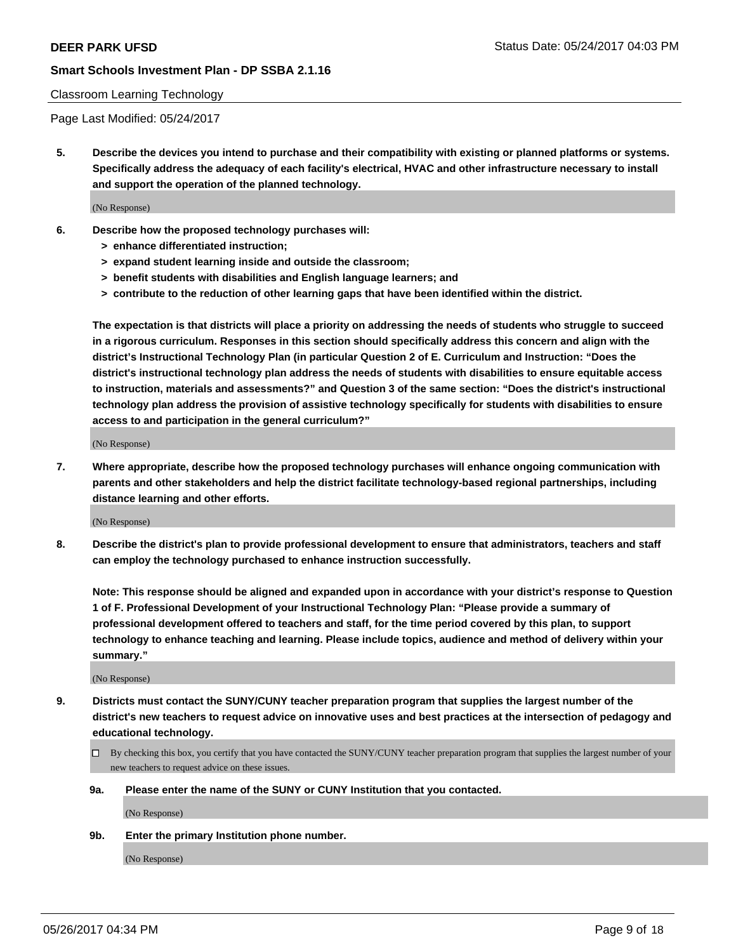#### Classroom Learning Technology

Page Last Modified: 05/24/2017

**5. Describe the devices you intend to purchase and their compatibility with existing or planned platforms or systems. Specifically address the adequacy of each facility's electrical, HVAC and other infrastructure necessary to install and support the operation of the planned technology.**

(No Response)

- **6. Describe how the proposed technology purchases will:**
	- **> enhance differentiated instruction;**
	- **> expand student learning inside and outside the classroom;**
	- **> benefit students with disabilities and English language learners; and**
	- **> contribute to the reduction of other learning gaps that have been identified within the district.**

**The expectation is that districts will place a priority on addressing the needs of students who struggle to succeed in a rigorous curriculum. Responses in this section should specifically address this concern and align with the district's Instructional Technology Plan (in particular Question 2 of E. Curriculum and Instruction: "Does the district's instructional technology plan address the needs of students with disabilities to ensure equitable access to instruction, materials and assessments?" and Question 3 of the same section: "Does the district's instructional technology plan address the provision of assistive technology specifically for students with disabilities to ensure access to and participation in the general curriculum?"**

(No Response)

**7. Where appropriate, describe how the proposed technology purchases will enhance ongoing communication with parents and other stakeholders and help the district facilitate technology-based regional partnerships, including distance learning and other efforts.**

(No Response)

**8. Describe the district's plan to provide professional development to ensure that administrators, teachers and staff can employ the technology purchased to enhance instruction successfully.**

**Note: This response should be aligned and expanded upon in accordance with your district's response to Question 1 of F. Professional Development of your Instructional Technology Plan: "Please provide a summary of professional development offered to teachers and staff, for the time period covered by this plan, to support technology to enhance teaching and learning. Please include topics, audience and method of delivery within your summary."**

(No Response)

- **9. Districts must contact the SUNY/CUNY teacher preparation program that supplies the largest number of the district's new teachers to request advice on innovative uses and best practices at the intersection of pedagogy and educational technology.**
	- By checking this box, you certify that you have contacted the SUNY/CUNY teacher preparation program that supplies the largest number of your new teachers to request advice on these issues.
	- **9a. Please enter the name of the SUNY or CUNY Institution that you contacted.**

(No Response)

**9b. Enter the primary Institution phone number.**

(No Response)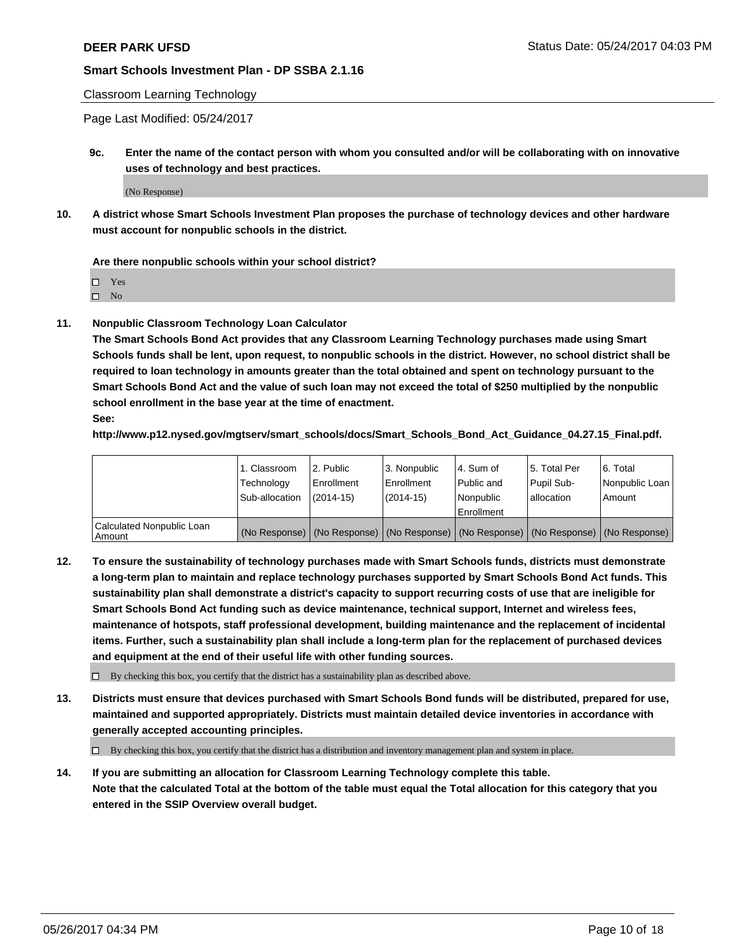Classroom Learning Technology

Page Last Modified: 05/24/2017

**9c. Enter the name of the contact person with whom you consulted and/or will be collaborating with on innovative uses of technology and best practices.**

(No Response)

**10. A district whose Smart Schools Investment Plan proposes the purchase of technology devices and other hardware must account for nonpublic schools in the district.**

**Are there nonpublic schools within your school district?**

Yes

 $\square$  No

**11. Nonpublic Classroom Technology Loan Calculator**

**The Smart Schools Bond Act provides that any Classroom Learning Technology purchases made using Smart Schools funds shall be lent, upon request, to nonpublic schools in the district. However, no school district shall be required to loan technology in amounts greater than the total obtained and spent on technology pursuant to the Smart Schools Bond Act and the value of such loan may not exceed the total of \$250 multiplied by the nonpublic school enrollment in the base year at the time of enactment.**

**See:**

**http://www.p12.nysed.gov/mgtserv/smart\_schools/docs/Smart\_Schools\_Bond\_Act\_Guidance\_04.27.15\_Final.pdf.**

|                                       | 1. Classroom   | 2. Public     | 3. Nonpublic | 14. Sum of  | 15. Total Per | l 6. Total                                                                                    |
|---------------------------------------|----------------|---------------|--------------|-------------|---------------|-----------------------------------------------------------------------------------------------|
|                                       | Technology     | Enrollment    | Enrollment   | Public and  | Pupil Sub-    | Nonpublic Loan                                                                                |
|                                       | Sub-allocation | $(2014 - 15)$ | (2014-15)    | l Nonpublic | allocation    | Amount                                                                                        |
|                                       |                |               |              | Enrollment  |               |                                                                                               |
| Calculated Nonpublic Loan<br>  Amount |                |               |              |             |               | (No Response)   (No Response)   (No Response)   (No Response)   (No Response)   (No Response) |

**12. To ensure the sustainability of technology purchases made with Smart Schools funds, districts must demonstrate a long-term plan to maintain and replace technology purchases supported by Smart Schools Bond Act funds. This sustainability plan shall demonstrate a district's capacity to support recurring costs of use that are ineligible for Smart Schools Bond Act funding such as device maintenance, technical support, Internet and wireless fees, maintenance of hotspots, staff professional development, building maintenance and the replacement of incidental items. Further, such a sustainability plan shall include a long-term plan for the replacement of purchased devices and equipment at the end of their useful life with other funding sources.**

 $\Box$  By checking this box, you certify that the district has a sustainability plan as described above.

**13. Districts must ensure that devices purchased with Smart Schools Bond funds will be distributed, prepared for use, maintained and supported appropriately. Districts must maintain detailed device inventories in accordance with generally accepted accounting principles.**

By checking this box, you certify that the district has a distribution and inventory management plan and system in place.

**14. If you are submitting an allocation for Classroom Learning Technology complete this table. Note that the calculated Total at the bottom of the table must equal the Total allocation for this category that you entered in the SSIP Overview overall budget.**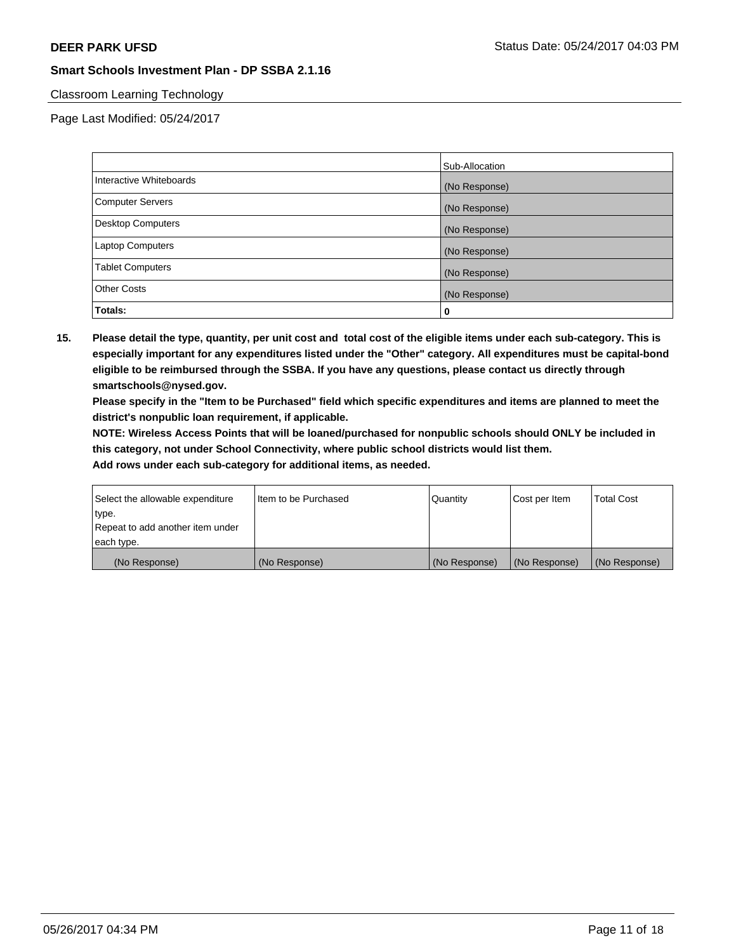## Classroom Learning Technology

Page Last Modified: 05/24/2017

|                          | Sub-Allocation |
|--------------------------|----------------|
| Interactive Whiteboards  | (No Response)  |
| Computer Servers         | (No Response)  |
| <b>Desktop Computers</b> | (No Response)  |
| <b>Laptop Computers</b>  | (No Response)  |
| <b>Tablet Computers</b>  | (No Response)  |
| <b>Other Costs</b>       | (No Response)  |
| Totals:                  | 0              |

**15. Please detail the type, quantity, per unit cost and total cost of the eligible items under each sub-category. This is especially important for any expenditures listed under the "Other" category. All expenditures must be capital-bond eligible to be reimbursed through the SSBA. If you have any questions, please contact us directly through smartschools@nysed.gov.**

**Please specify in the "Item to be Purchased" field which specific expenditures and items are planned to meet the district's nonpublic loan requirement, if applicable.**

**NOTE: Wireless Access Points that will be loaned/purchased for nonpublic schools should ONLY be included in this category, not under School Connectivity, where public school districts would list them.**

| Select the allowable expenditure | Iltem to be Purchased | Quantity      | Cost per Item | <b>Total Cost</b> |
|----------------------------------|-----------------------|---------------|---------------|-------------------|
| type.                            |                       |               |               |                   |
| Repeat to add another item under |                       |               |               |                   |
| each type.                       |                       |               |               |                   |
| (No Response)                    | (No Response)         | (No Response) | (No Response) | (No Response)     |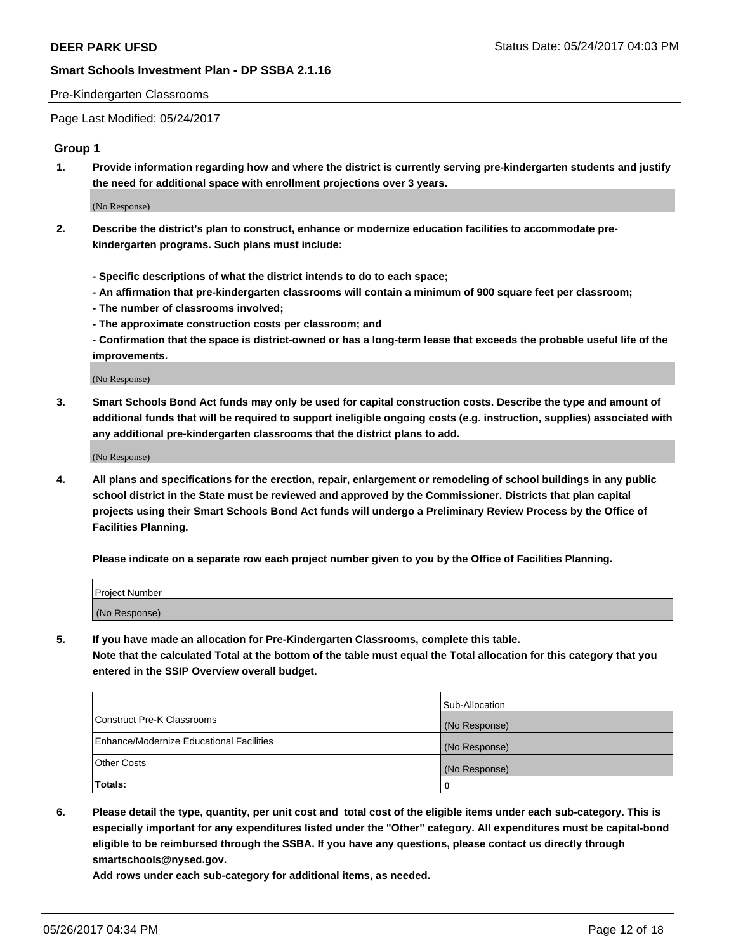#### Pre-Kindergarten Classrooms

Page Last Modified: 05/24/2017

## **Group 1**

**1. Provide information regarding how and where the district is currently serving pre-kindergarten students and justify the need for additional space with enrollment projections over 3 years.**

(No Response)

- **2. Describe the district's plan to construct, enhance or modernize education facilities to accommodate prekindergarten programs. Such plans must include:**
	- **Specific descriptions of what the district intends to do to each space;**
	- **An affirmation that pre-kindergarten classrooms will contain a minimum of 900 square feet per classroom;**
	- **The number of classrooms involved;**
	- **The approximate construction costs per classroom; and**
	- **Confirmation that the space is district-owned or has a long-term lease that exceeds the probable useful life of the improvements.**

(No Response)

**3. Smart Schools Bond Act funds may only be used for capital construction costs. Describe the type and amount of additional funds that will be required to support ineligible ongoing costs (e.g. instruction, supplies) associated with any additional pre-kindergarten classrooms that the district plans to add.**

(No Response)

**4. All plans and specifications for the erection, repair, enlargement or remodeling of school buildings in any public school district in the State must be reviewed and approved by the Commissioner. Districts that plan capital projects using their Smart Schools Bond Act funds will undergo a Preliminary Review Process by the Office of Facilities Planning.**

**Please indicate on a separate row each project number given to you by the Office of Facilities Planning.**

| Project Number |  |
|----------------|--|
| (No Response)  |  |

**5. If you have made an allocation for Pre-Kindergarten Classrooms, complete this table. Note that the calculated Total at the bottom of the table must equal the Total allocation for this category that you entered in the SSIP Overview overall budget.**

| Totals:                                  | 0              |
|------------------------------------------|----------------|
| Other Costs                              | (No Response)  |
| Enhance/Modernize Educational Facilities | (No Response)  |
| Construct Pre-K Classrooms               | (No Response)  |
|                                          | Sub-Allocation |

**6. Please detail the type, quantity, per unit cost and total cost of the eligible items under each sub-category. This is especially important for any expenditures listed under the "Other" category. All expenditures must be capital-bond eligible to be reimbursed through the SSBA. If you have any questions, please contact us directly through smartschools@nysed.gov.**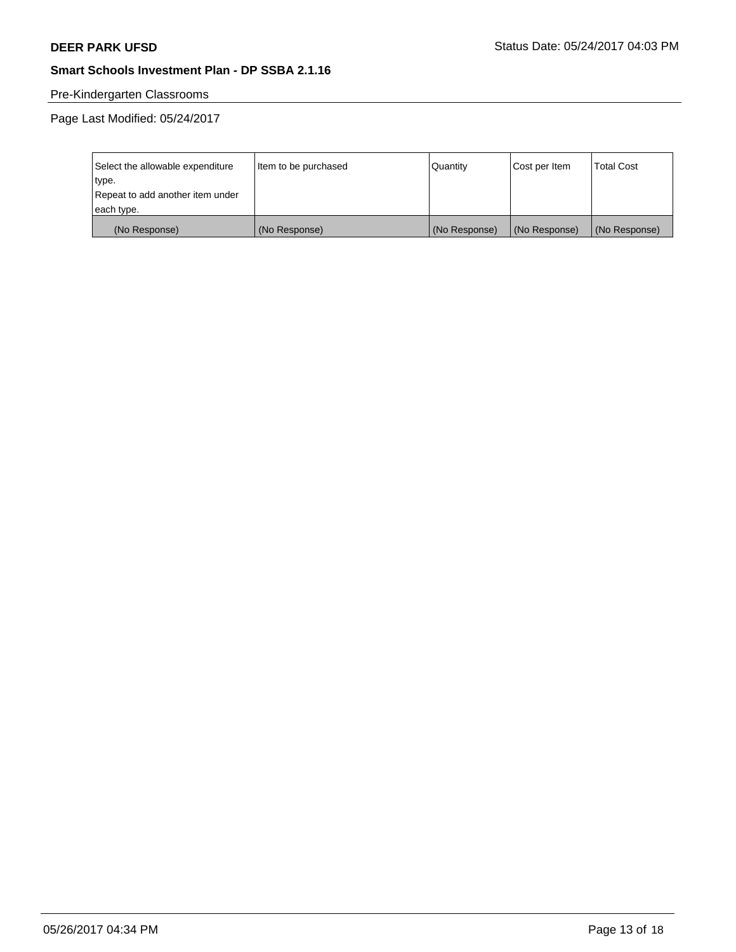# Pre-Kindergarten Classrooms

Page Last Modified: 05/24/2017

| Select the allowable expenditure | Item to be purchased | Quantity      | Cost per Item | <b>Total Cost</b> |
|----------------------------------|----------------------|---------------|---------------|-------------------|
| type.                            |                      |               |               |                   |
| Repeat to add another item under |                      |               |               |                   |
| each type.                       |                      |               |               |                   |
| (No Response)                    | (No Response)        | (No Response) | (No Response) | (No Response)     |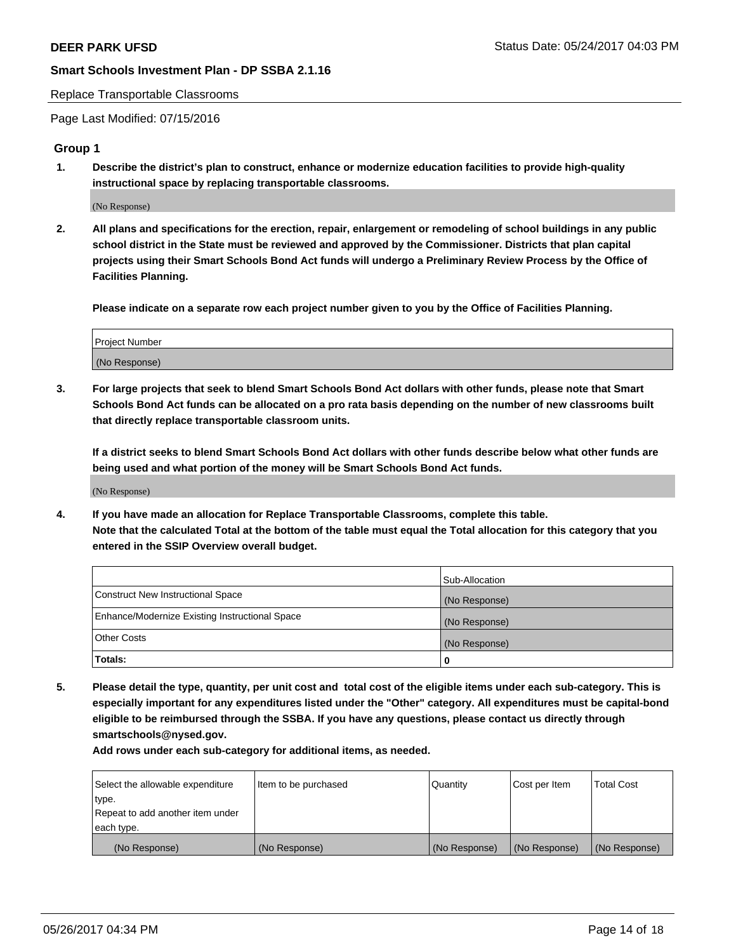#### Replace Transportable Classrooms

Page Last Modified: 07/15/2016

#### **Group 1**

**1. Describe the district's plan to construct, enhance or modernize education facilities to provide high-quality instructional space by replacing transportable classrooms.**

(No Response)

**2. All plans and specifications for the erection, repair, enlargement or remodeling of school buildings in any public school district in the State must be reviewed and approved by the Commissioner. Districts that plan capital projects using their Smart Schools Bond Act funds will undergo a Preliminary Review Process by the Office of Facilities Planning.**

**Please indicate on a separate row each project number given to you by the Office of Facilities Planning.**

| Project Number |  |
|----------------|--|
| (No Response)  |  |

**3. For large projects that seek to blend Smart Schools Bond Act dollars with other funds, please note that Smart Schools Bond Act funds can be allocated on a pro rata basis depending on the number of new classrooms built that directly replace transportable classroom units.**

**If a district seeks to blend Smart Schools Bond Act dollars with other funds describe below what other funds are being used and what portion of the money will be Smart Schools Bond Act funds.**

(No Response)

**4. If you have made an allocation for Replace Transportable Classrooms, complete this table. Note that the calculated Total at the bottom of the table must equal the Total allocation for this category that you entered in the SSIP Overview overall budget.**

|                                                | Sub-Allocation |
|------------------------------------------------|----------------|
| Construct New Instructional Space              | (No Response)  |
| Enhance/Modernize Existing Instructional Space | (No Response)  |
| Other Costs                                    | (No Response)  |
| Totals:                                        | $\Omega$       |

**5. Please detail the type, quantity, per unit cost and total cost of the eligible items under each sub-category. This is especially important for any expenditures listed under the "Other" category. All expenditures must be capital-bond eligible to be reimbursed through the SSBA. If you have any questions, please contact us directly through smartschools@nysed.gov.**

| Select the allowable expenditure | Item to be purchased | Quantity      | Cost per Item | <b>Total Cost</b> |
|----------------------------------|----------------------|---------------|---------------|-------------------|
| type.                            |                      |               |               |                   |
| Repeat to add another item under |                      |               |               |                   |
| each type.                       |                      |               |               |                   |
| (No Response)                    | (No Response)        | (No Response) | (No Response) | (No Response)     |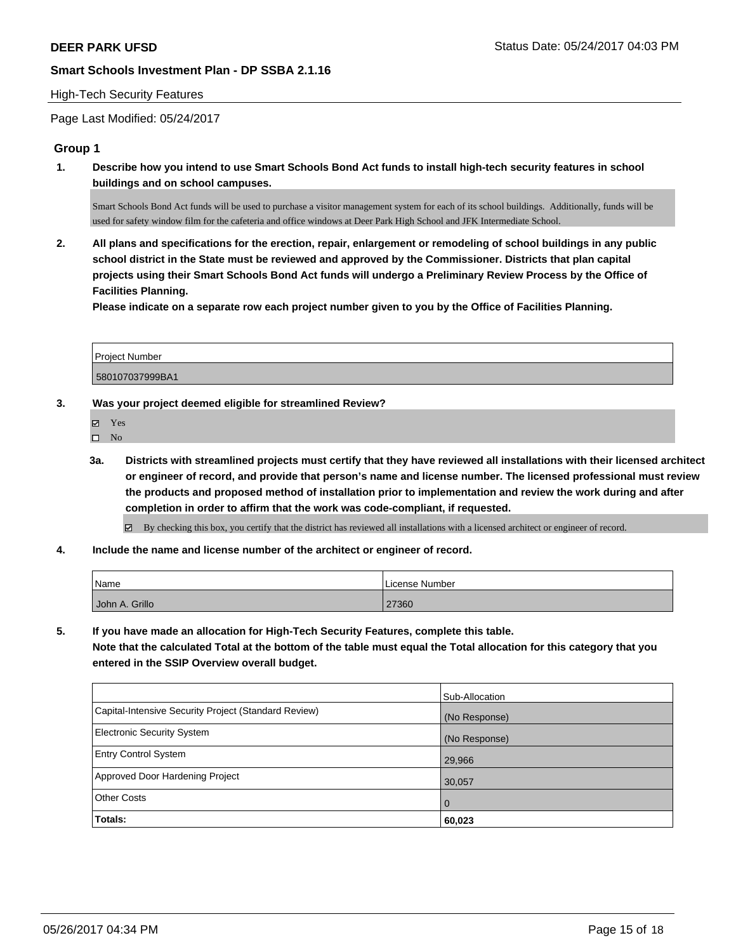#### High-Tech Security Features

Page Last Modified: 05/24/2017

## **Group 1**

**1. Describe how you intend to use Smart Schools Bond Act funds to install high-tech security features in school buildings and on school campuses.**

Smart Schools Bond Act funds will be used to purchase a visitor management system for each of its school buildings. Additionally, funds will be used for safety window film for the cafeteria and office windows at Deer Park High School and JFK Intermediate School.

**2. All plans and specifications for the erection, repair, enlargement or remodeling of school buildings in any public school district in the State must be reviewed and approved by the Commissioner. Districts that plan capital projects using their Smart Schools Bond Act funds will undergo a Preliminary Review Process by the Office of Facilities Planning.** 

**Please indicate on a separate row each project number given to you by the Office of Facilities Planning.**

| Project Number  |  |
|-----------------|--|
| 580107037999BA1 |  |

## **3. Was your project deemed eligible for streamlined Review?**

 $\hfill \square$  No

**3a. Districts with streamlined projects must certify that they have reviewed all installations with their licensed architect or engineer of record, and provide that person's name and license number. The licensed professional must review the products and proposed method of installation prior to implementation and review the work during and after completion in order to affirm that the work was code-compliant, if requested.**

By checking this box, you certify that the district has reviewed all installations with a licensed architect or engineer of record.

**4. Include the name and license number of the architect or engineer of record.**

| Name           | License Number |
|----------------|----------------|
| John A. Grillo | 27360          |

**5. If you have made an allocation for High-Tech Security Features, complete this table.**

**Note that the calculated Total at the bottom of the table must equal the Total allocation for this category that you entered in the SSIP Overview overall budget.**

|                                                      | Sub-Allocation |
|------------------------------------------------------|----------------|
| Capital-Intensive Security Project (Standard Review) | (No Response)  |
| <b>Electronic Security System</b>                    | (No Response)  |
| <b>Entry Control System</b>                          | 29,966         |
| Approved Door Hardening Project                      | 30,057         |
| <b>Other Costs</b>                                   | l 0            |
| Totals:                                              | 60,023         |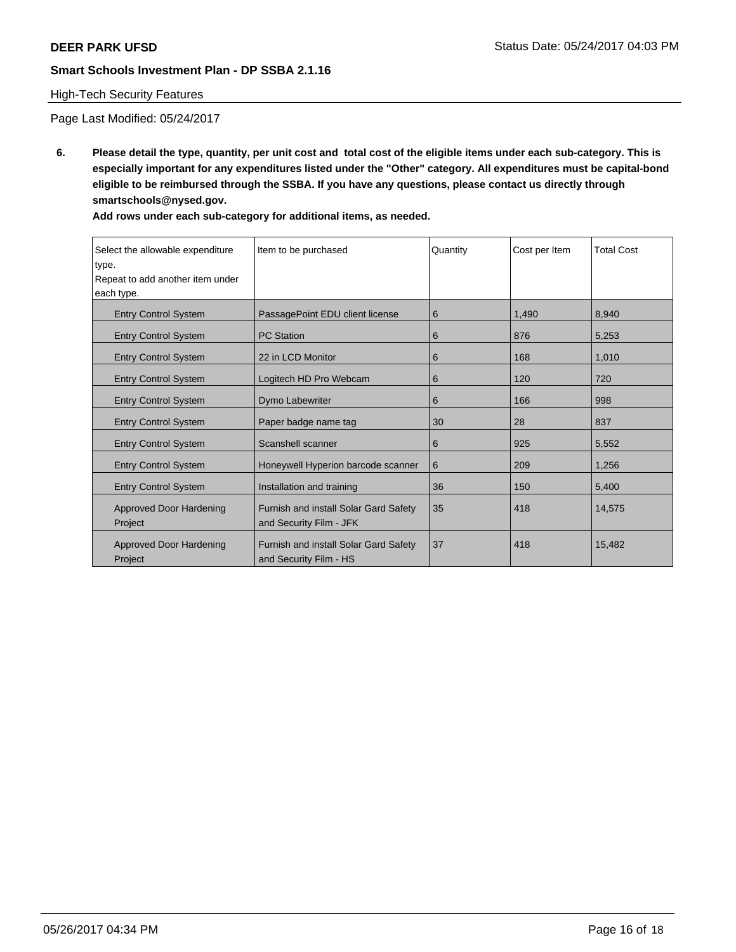## High-Tech Security Features

Page Last Modified: 05/24/2017

**6. Please detail the type, quantity, per unit cost and total cost of the eligible items under each sub-category. This is especially important for any expenditures listed under the "Other" category. All expenditures must be capital-bond eligible to be reimbursed through the SSBA. If you have any questions, please contact us directly through smartschools@nysed.gov.**

| Select the allowable expenditure<br>type.<br>Repeat to add another item under<br>each type. | Item to be purchased                                             | Quantity | Cost per Item | <b>Total Cost</b> |
|---------------------------------------------------------------------------------------------|------------------------------------------------------------------|----------|---------------|-------------------|
| <b>Entry Control System</b>                                                                 | PassagePoint EDU client license                                  | 6        | 1,490         | 8.940             |
| <b>Entry Control System</b>                                                                 | <b>PC Station</b>                                                | 6        | 876           | 5,253             |
| <b>Entry Control System</b>                                                                 | 22 in LCD Monitor                                                | 6        | 168           | 1,010             |
| <b>Entry Control System</b>                                                                 | Logitech HD Pro Webcam                                           | 6        | 120           | 720               |
| <b>Entry Control System</b>                                                                 | Dymo Labewriter                                                  | 6        | 166           | 998               |
| <b>Entry Control System</b>                                                                 | Paper badge name tag                                             | 30       | 28            | 837               |
| <b>Entry Control System</b>                                                                 | Scanshell scanner                                                | 6        | 925           | 5,552             |
| <b>Entry Control System</b>                                                                 | Honeywell Hyperion barcode scanner                               | 6        | 209           | 1,256             |
| <b>Entry Control System</b>                                                                 | Installation and training                                        | 36       | 150           | 5,400             |
| Approved Door Hardening<br>Project                                                          | Furnish and install Solar Gard Safety<br>and Security Film - JFK | 35       | 418           | 14.575            |
| Approved Door Hardening<br>Project                                                          | Furnish and install Solar Gard Safety<br>and Security Film - HS  | 37       | 418           | 15.482            |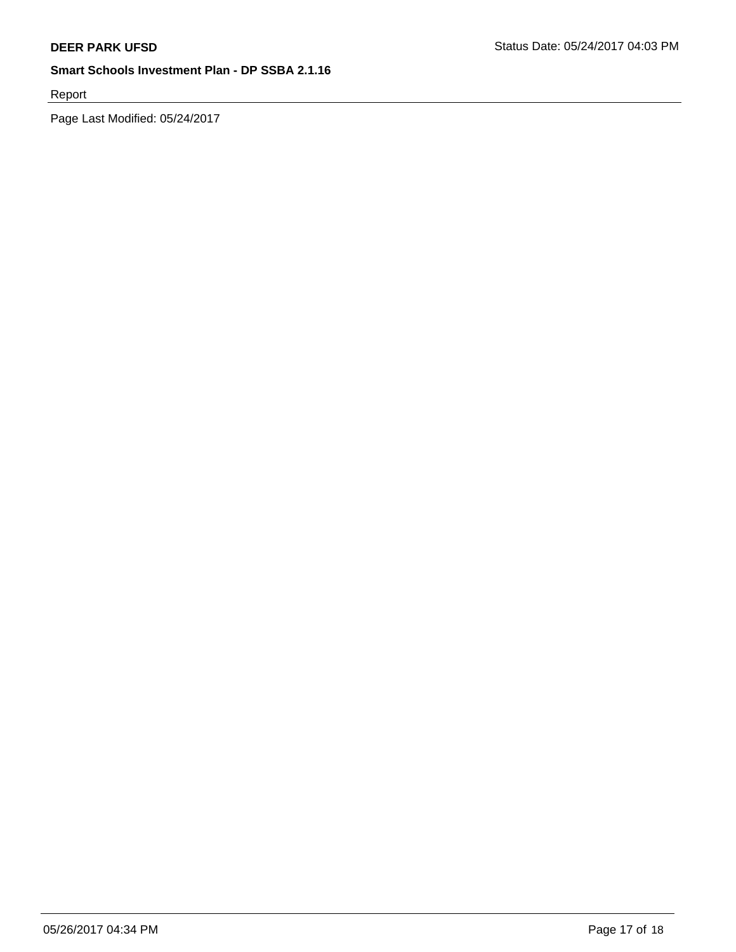Report

Page Last Modified: 05/24/2017